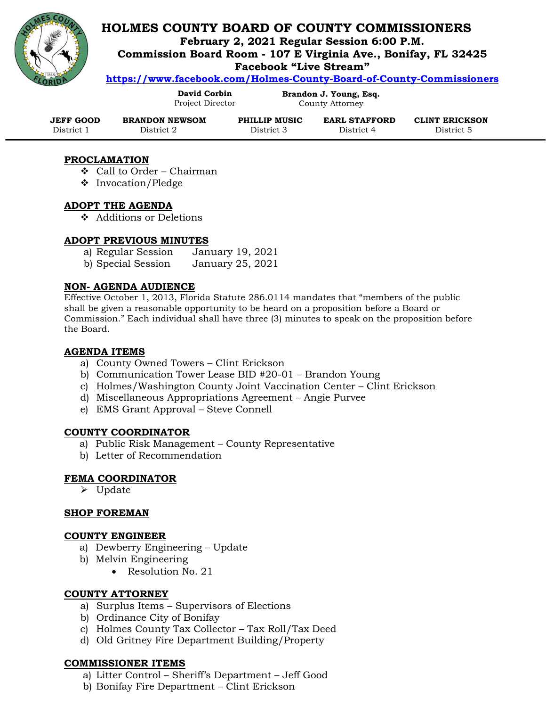

# **HOLMES COUNTY BOARD OF COUNTY COMMISSIONERS**

**February 2, 2021 Regular Session 6:00 P.M.**

**Commission Board Room - 107 E Virginia Ave., Bonifay, FL 32425**

**Facebook "Live Stream"** 

**<https://www.facebook.com/Holmes-County-Board-of-County-Commissioners>**

**David Corbin** Project Director

**Brandon J. Young, Esq.** County Attorney

| <b>JEFF GOOD</b> | <b>BRANDON NEWSOM</b> | PHILLIP MUSIC | <b>EARL STAFFORD</b> | <b>CLINT ERICKSON</b> |
|------------------|-----------------------|---------------|----------------------|-----------------------|
| District 1       | District 2            | District 3    | District 4           | District 5            |

## **PROCLAMATION**

- ❖ Call to Order Chairman
- ❖ Invocation/Pledge

#### **ADOPT THE AGENDA**

❖ Additions or Deletions

## **ADOPT PREVIOUS MINUTES**

- a) Regular Session January 19, 2021
- b) Special Session January 25, 2021

## **NON- AGENDA AUDIENCE**

Effective October 1, 2013, Florida Statute 286.0114 mandates that "members of the public shall be given a reasonable opportunity to be heard on a proposition before a Board or Commission." Each individual shall have three (3) minutes to speak on the proposition before the Board.

#### **AGENDA ITEMS**

- a) County Owned Towers Clint Erickson
- b) Communication Tower Lease BID #20-01 Brandon Young
- c) Holmes/Washington County Joint Vaccination Center Clint Erickson
- d) Miscellaneous Appropriations Agreement Angie Purvee
- e) EMS Grant Approval Steve Connell

## **COUNTY COORDINATOR**

- a) Public Risk Management County Representative
- b) Letter of Recommendation

## **FEMA COORDINATOR**

➢ Update

## **SHOP FOREMAN**

#### **COUNTY ENGINEER**

- a) Dewberry Engineering Update
- b) Melvin Engineering
	- Resolution No. 21

## **COUNTY ATTORNEY**

- a) Surplus Items Supervisors of Elections
- b) Ordinance City of Bonifay
- c) Holmes County Tax Collector Tax Roll/Tax Deed
- d) Old Gritney Fire Department Building/Property

## **COMMISSIONER ITEMS**

- a) Litter Control Sheriff's Department Jeff Good
- b) Bonifay Fire Department Clint Erickson